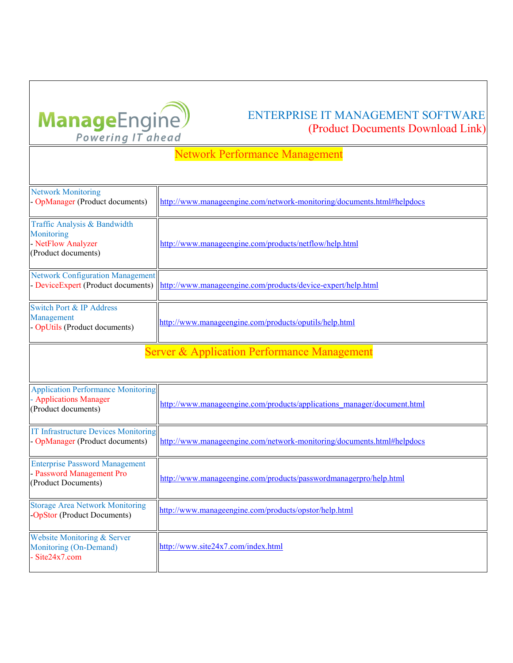

## ENTERPRISE IT MANAGEMENT SOFTWARE (Product Documents Download Link)

## Network Performance Management

| <b>Network Monitoring</b><br>- OpManager (Product documents)                               | http://www.manageengine.com/network-monitoring/documents.html#helpdocs  |  |
|--------------------------------------------------------------------------------------------|-------------------------------------------------------------------------|--|
| Traffic Analysis & Bandwidth<br>Monitoring<br>- NetFlow Analyzer<br>(Product documents)    | http://www.manageengine.com/products/netflow/help.html                  |  |
| <b>Network Configuration Management</b><br>- DeviceExpert (Product documents)              | http://www.manageengine.com/products/device-expert/help.html            |  |
| <b>Switch Port &amp; IP Address</b><br>Management<br>- OpUtils (Product documents)         | http://www.manageengine.com/products/oputils/help.html                  |  |
| <b>Server &amp; Application Performance Management</b>                                     |                                                                         |  |
| <b>Application Performance Monitoring</b><br>- Applications Manager<br>(Product documents) | http://www.manageengine.com/products/applications_manager/document.html |  |
| <b>IT Infrastructure Devices Monitoring</b><br>- OpManager (Product documents)             | http://www.manageengine.com/network-monitoring/documents.html#helpdocs  |  |
| <b>Enterprise Password Management</b><br>- Password Management Pro<br>(Product Documents)  | http://www.manageengine.com/products/passwordmanagerpro/help.html       |  |
| <b>Storage Area Network Monitoring</b><br><b>OpStor (Product Documents)</b>                | http://www.manageengine.com/products/opstor/help.html                   |  |
| Website Monitoring & Server<br>Monitoring (On-Demand)<br>Site24x7.com                      | http://www.site24x7.com/index.html                                      |  |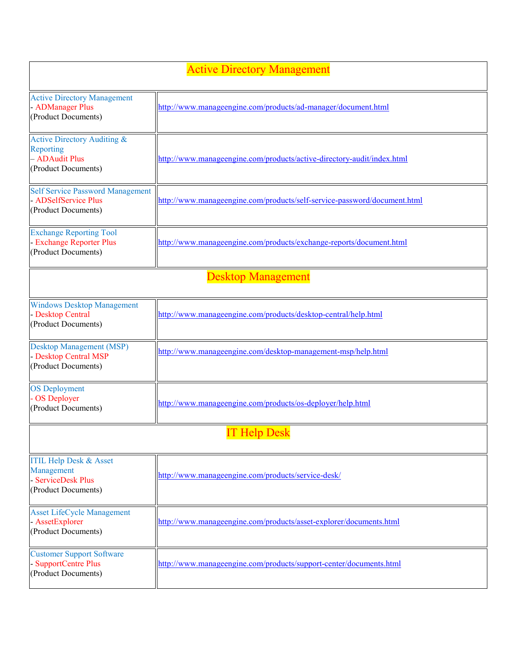## Active Directory Management

| <b>Active Directory Management</b><br>- ADManager Plus<br>(Product Documents)                | http://www.manageengine.com/products/ad-manager/document.html            |
|----------------------------------------------------------------------------------------------|--------------------------------------------------------------------------|
| Active Directory Auditing &<br>Reporting<br>- ADAudit Plus<br>(Product Documents)            | http://www.manageengine.com/products/active-directory-audit/index.html   |
| <b>Self Service Password Management</b><br>- ADSelfService Plus<br>(Product Documents)       | http://www.manageengine.com/products/self-service-password/document.html |
| <b>Exchange Reporting Tool</b><br>- Exchange Reporter Plus<br>(Product Documents)            | http://www.manageengine.com/products/exchange-reports/document.html      |
|                                                                                              | <b>Desktop Management</b>                                                |
| <b>Windows Desktop Management</b><br>- Desktop Central<br>(Product Documents)                | http://www.manageengine.com/products/desktop-central/help.html           |
| <b>Desktop Management (MSP)</b><br>- Desktop Central MSP<br>(Product Documents)              | http://www.manageengine.com/desktop-management-msp/help.html             |
| <b>OS</b> Deployment<br>- OS Deployer<br>(Product Documents)                                 | http://www.manageengine.com/products/os-deployer/help.html               |
|                                                                                              | <b>IT Help Desk</b>                                                      |
| <b>ITIL Help Desk &amp; Asset</b><br>Management<br>- ServiceDesk Plus<br>(Product Documents) | http://www.manageengine.com/products/service-desk/                       |
| <b>Asset LifeCycle Management</b><br>- AssetExplorer<br>(Product Documents)                  | http://www.manageengine.com/products/asset-explorer/documents.html       |
| <b>Customer Support Software</b><br>- SupportCentre Plus<br>(Product Documents)              | http://www.manageengine.com/products/support-center/documents.html       |